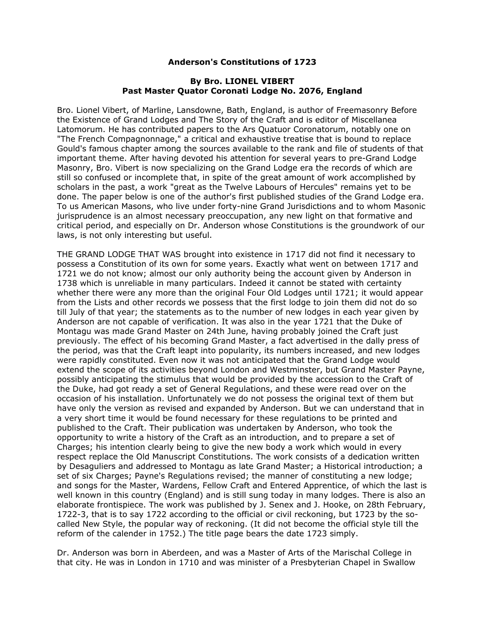## **Anderson's Constitutions of 1723**

## **By Bro. LIONEL VIBERT Past Master Quator Coronati Lodge No. 2076, England**

Bro. Lionel Vibert, of Marline, Lansdowne, Bath, England, is author of Freemasonry Before the Existence of Grand Lodges and The Story of the Craft and is editor of Miscellanea Latomorum. He has contributed papers to the Ars Quatuor Coronatorum, notably one on "The French Compagnonnage," a critical and exhaustive treatise that is bound to replace Gould's famous chapter among the sources available to the rank and file of students of that important theme. After having devoted his attention for several years to pre-Grand Lodge Masonry, Bro. Vibert is now specializing on the Grand Lodge era the records of which are still so confused or incomplete that, in spite of the great amount of work accomplished by scholars in the past, a work "great as the Twelve Labours of Hercules" remains yet to be done. The paper below is one of the author's first published studies of the Grand Lodge era. To us American Masons, who live under forty-nine Grand Jurisdictions and to whom Masonic jurisprudence is an almost necessary preoccupation, any new light on that formative and critical period, and especially on Dr. Anderson whose Constitutions is the groundwork of our laws, is not only interesting but useful.

THE GRAND LODGE THAT WAS brought into existence in 1717 did not find it necessary to possess a Constitution of its own for some years. Exactly what went on between 1717 and 1721 we do not know; almost our only authority being the account given by Anderson in 1738 which is unreliable in many particulars. Indeed it cannot be stated with certainty whether there were any more than the original Four Old Lodges until 1721; it would appear from the Lists and other records we possess that the first lodge to join them did not do so till July of that year; the statements as to the number of new lodges in each year given by Anderson are not capable of verification. It was also in the year 1721 that the Duke of Montagu was made Grand Master on 24th June, having probably joined the Craft just previously. The effect of his becoming Grand Master, a fact advertised in the dally press of the period, was that the Craft leapt into popularity, its numbers increased, and new lodges were rapidly constituted. Even now it was not anticipated that the Grand Lodge would extend the scope of its activities beyond London and Westminster, but Grand Master Payne, possibly anticipating the stimulus that would be provided by the accession to the Craft of the Duke, had got ready a set of General Regulations, and these were read over on the occasion of his installation. Unfortunately we do not possess the original text of them but have only the version as revised and expanded by Anderson. But we can understand that in a very short time it would be found necessary for these regulations to be printed and published to the Craft. Their publication was undertaken by Anderson, who took the opportunity to write a history of the Craft as an introduction, and to prepare a set of Charges; his intention clearly being to give the new body a work which would in every respect replace the Old Manuscript Constitutions. The work consists of a dedication written by Desaguliers and addressed to Montagu as late Grand Master; a Historical introduction; a set of six Charges; Payne's Regulations revised; the manner of constituting a new lodge; and songs for the Master, Wardens, Fellow Craft and Entered Apprentice, of which the last is well known in this country (England) and is still sung today in many lodges. There is also an elaborate frontispiece. The work was published by J. Senex and J. Hooke, on 28th February, 1722-3, that is to say 1722 according to the official or civil reckoning, but 1723 by the socalled New Style, the popular way of reckoning. (It did not become the official style till the reform of the calender in 1752.) The title page bears the date 1723 simply.

Dr. Anderson was born in Aberdeen, and was a Master of Arts of the Marischal College in that city. He was in London in 1710 and was minister of a Presbyterian Chapel in Swallow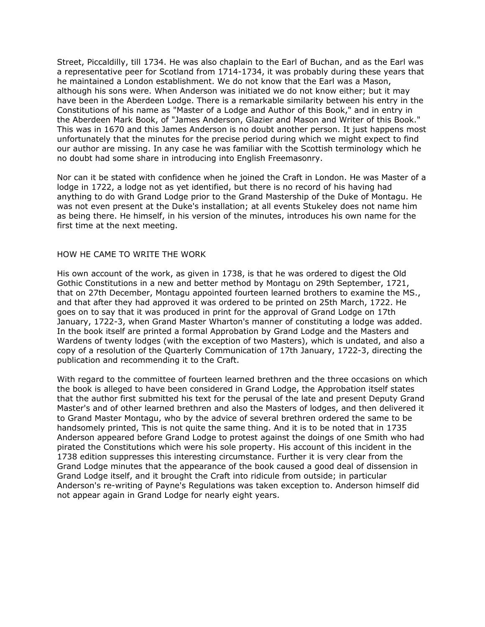Street, Piccaldilly, till 1734. He was also chaplain to the Earl of Buchan, and as the Earl was a representative peer for Scotland from 1714-1734, it was probably during these years that he maintained a London establishment. We do not know that the Earl was a Mason, although his sons were. When Anderson was initiated we do not know either; but it may have been in the Aberdeen Lodge. There is a remarkable similarity between his entry in the Constitutions of his name as "Master of a Lodge and Author of this Book," and in entry in the Aberdeen Mark Book, of "James Anderson, Glazier and Mason and Writer of this Book." This was in 1670 and this James Anderson is no doubt another person. It just happens most unfortunately that the minutes for the precise period during which we might expect to find our author are missing. In any case he was familiar with the Scottish terminology which he no doubt had some share in introducing into English Freemasonry.

Nor can it be stated with confidence when he joined the Craft in London. He was Master of a lodge in 1722, a lodge not as yet identified, but there is no record of his having had anything to do with Grand Lodge prior to the Grand Mastership of the Duke of Montagu. He was not even present at the Duke's installation; at all events Stukeley does not name him as being there. He himself, in his version of the minutes, introduces his own name for the first time at the next meeting.

### HOW HE CAME TO WRITE THE WORK

His own account of the work, as given in 1738, is that he was ordered to digest the Old Gothic Constitutions in a new and better method by Montagu on 29th September, 1721, that on 27th December, Montagu appointed fourteen learned brothers to examine the MS., and that after they had approved it was ordered to be printed on 25th March, 1722. He goes on to say that it was produced in print for the approval of Grand Lodge on 17th January, 1722-3, when Grand Master Wharton's manner of constituting a lodge was added. In the book itself are printed a formal Approbation by Grand Lodge and the Masters and Wardens of twenty lodges (with the exception of two Masters), which is undated, and also a copy of a resolution of the Quarterly Communication of 17th January, 1722-3, directing the publication and recommending it to the Craft.

With regard to the committee of fourteen learned brethren and the three occasions on which the book is alleged to have been considered in Grand Lodge, the Approbation itself states that the author first submitted his text for the perusal of the late and present Deputy Grand Master's and of other learned brethren and also the Masters of lodges, and then delivered it to Grand Master Montagu, who by the advice of several brethren ordered the same to be handsomely printed, This is not quite the same thing. And it is to be noted that in 1735 Anderson appeared before Grand Lodge to protest against the doings of one Smith who had pirated the Constitutions which were his sole property. His account of this incident in the 1738 edition suppresses this interesting circumstance. Further it is very clear from the Grand Lodge minutes that the appearance of the book caused a good deal of dissension in Grand Lodge itself, and it brought the Craft into ridicule from outside; in particular Anderson's re-writing of Payne's Regulations was taken exception to. Anderson himself did not appear again in Grand Lodge for nearly eight years.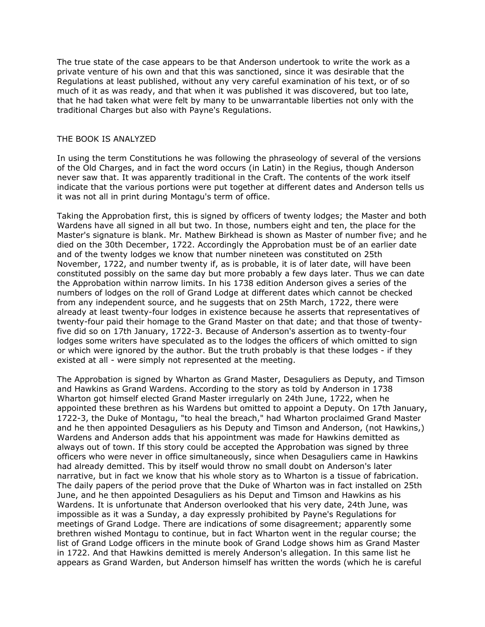The true state of the case appears to be that Anderson undertook to write the work as a private venture of his own and that this was sanctioned, since it was desirable that the Regulations at least published, without any very careful examination of his text, or of so much of it as was ready, and that when it was published it was discovered, but too late, that he had taken what were felt by many to be unwarrantable liberties not only with the traditional Charges but also with Payne's Regulations.

## THE BOOK IS ANALYZED

In using the term Constitutions he was following the phraseology of several of the versions of the Old Charges, and in fact the word occurs (in Latin) in the Regius, though Anderson never saw that. It was apparently traditional in the Craft. The contents of the work itself indicate that the various portions were put together at different dates and Anderson tells us it was not all in print during Montagu's term of office.

Taking the Approbation first, this is signed by officers of twenty lodges; the Master and both Wardens have all signed in all but two. In those, numbers eight and ten, the place for the Master's signature is blank. Mr. Mathew Birkhead is shown as Master of number five; and he died on the 30th December, 1722. Accordingly the Approbation must be of an earlier date and of the twenty lodges we know that number nineteen was constituted on 25th November, 1722, and number twenty if, as is probable, it is of later date, will have been constituted possibly on the same day but more probably a few days later. Thus we can date the Approbation within narrow limits. In his 1738 edition Anderson gives a series of the numbers of lodges on the roll of Grand Lodge at different dates which cannot be checked from any independent source, and he suggests that on 25th March, 1722, there were already at least twenty-four lodges in existence because he asserts that representatives of twenty-four paid their homage to the Grand Master on that date; and that those of twentyfive did so on 17th January, 1722-3. Because of Anderson's assertion as to twenty-four lodges some writers have speculated as to the lodges the officers of which omitted to sign or which were ignored by the author. But the truth probably is that these lodges - if they existed at all - were simply not represented at the meeting.

The Approbation is signed by Wharton as Grand Master, Desaguliers as Deputy, and Timson and Hawkins as Grand Wardens. According to the story as told by Anderson in 1738 Wharton got himself elected Grand Master irregularly on 24th June, 1722, when he appointed these brethren as his Wardens but omitted to appoint a Deputy. On 17th January, 1722-3, the Duke of Montagu, "to heal the breach," had Wharton proclaimed Grand Master and he then appointed Desaguliers as his Deputy and Timson and Anderson, (not Hawkins,) Wardens and Anderson adds that his appointment was made for Hawkins demitted as always out of town. If this story could be accepted the Approbation was signed by three officers who were never in office simultaneously, since when Desaguliers came in Hawkins had already demitted. This by itself would throw no small doubt on Anderson's later narrative, but in fact we know that his whole story as to Wharton is a tissue of fabrication. The daily papers of the period prove that the Duke of Wharton was in fact installed on 25th June, and he then appointed Desaguliers as his Deput and Timson and Hawkins as his Wardens. It is unfortunate that Anderson overlooked that his very date, 24th June, was impossible as it was a Sunday, a day expressly prohibited by Payne's Regulations for meetings of Grand Lodge. There are indications of some disagreement; apparently some brethren wished Montagu to continue, but in fact Wharton went in the regular course; the list of Grand Lodge officers in the minute book of Grand Lodge shows him as Grand Master in 1722. And that Hawkins demitted is merely Anderson's allegation. In this same list he appears as Grand Warden, but Anderson himself has written the words (which he is careful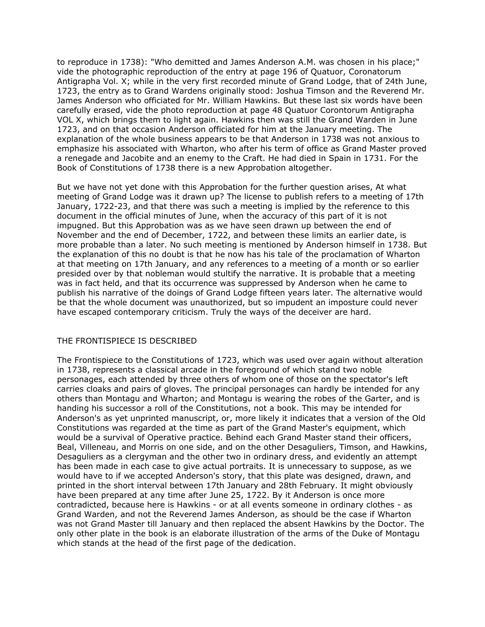to reproduce in 1738): "Who demitted and James Anderson A.M. was chosen in his place;" vide the photographic reproduction of the entry at page 196 of Quatuor, Coronatorum Antigrapha Vol. X; while in the very first recorded minute of Grand Lodge, that of 24th June, 1723, the entry as to Grand Wardens originally stood: Joshua Timson and the Reverend Mr. James Anderson who officiated for Mr. William Hawkins. But these last six words have been carefully erased, vide the photo reproduction at page 48 Quatuor Corontorum Antigrapha VOL X, which brings them to light again. Hawkins then was still the Grand Warden in June 1723, and on that occasion Anderson officiated for him at the January meeting. The explanation of the whole business appears to be that Anderson in 1738 was not anxious to emphasize his associated with Wharton, who after his term of office as Grand Master proved a renegade and Jacobite and an enemy to the Craft. He had died in Spain in 1731. For the Book of Constitutions of 1738 there is a new Approbation altogether.

But we have not yet done with this Approbation for the further question arises, At what meeting of Grand Lodge was it drawn up? The license to publish refers to a meeting of 17th January, 1722-23, and that there was such a meeting is implied by the reference to this document in the official minutes of June, when the accuracy of this part of it is not impugned. But this Approbation was as we have seen drawn up between the end of November and the end of December, 1722, and between these limits an earlier date, is more probable than a later. No such meeting is mentioned by Anderson himself in 1738. But the explanation of this no doubt is that he now has his tale of the proclamation of Wharton at that meeting on 17th January, and any references to a meeting of a month or so earlier presided over by that nobleman would stultify the narrative. It is probable that a meeting was in fact held, and that its occurrence was suppressed by Anderson when he came to publish his narrative of the doings of Grand Lodge fifteen years later. The alternative would be that the whole document was unauthorized, but so impudent an imposture could never have escaped contemporary criticism. Truly the ways of the deceiver are hard.

# THE FRONTISPIECE IS DESCRIBED

The Frontispiece to the Constitutions of 1723, which was used over again without alteration in 1738, represents a classical arcade in the foreground of which stand two noble personages, each attended by three others of whom one of those on the spectator's left carries cloaks and pairs of gloves. The principal personages can hardly be intended for any others than Montagu and Wharton; and Montagu is wearing the robes of the Garter, and is handing his successor a roll of the Constitutions, not a book. This may be intended for Anderson's as yet unprinted manuscript, or, more likely it indicates that a version of the Old Constitutions was regarded at the time as part of the Grand Master's equipment, which would be a survival of Operative practice. Behind each Grand Master stand their officers, Beal, Villeneau, and Morris on one side, and on the other Desaguliers, Timson, and Hawkins, Desaguliers as a clergyman and the other two in ordinary dress, and evidently an attempt has been made in each case to give actual portraits. It is unnecessary to suppose, as we would have to if we accepted Anderson's story, that this plate was designed, drawn, and printed in the short interval between 17th January and 28th February. It might obviously have been prepared at any time after June 25, 1722. By it Anderson is once more contradicted, because here is Hawkins - or at all events someone in ordinary clothes - as Grand Warden, and not the Reverend James Anderson, as should be the case if Wharton was not Grand Master till January and then replaced the absent Hawkins by the Doctor. The only other plate in the book is an elaborate illustration of the arms of the Duke of Montagu which stands at the head of the first page of the dedication.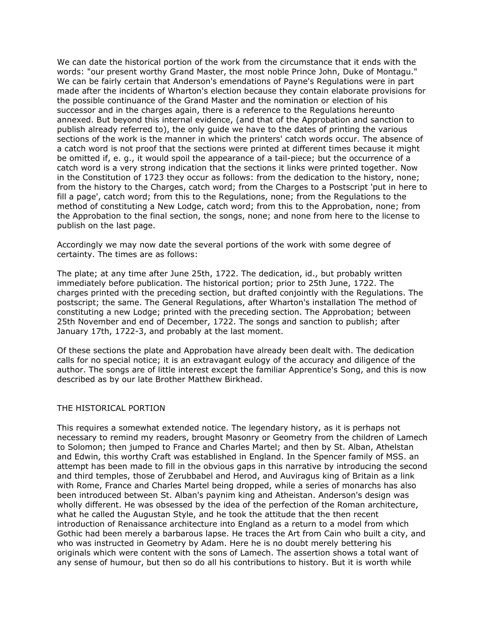We can date the historical portion of the work from the circumstance that it ends with the words: "our present worthy Grand Master, the most noble Prince John, Duke of Montagu." We can be fairly certain that Anderson's emendations of Payne's Regulations were in part made after the incidents of Wharton's election because they contain elaborate provisions for the possible continuance of the Grand Master and the nomination or election of his successor and in the charges again, there is a reference to the Regulations hereunto annexed. But beyond this internal evidence, (and that of the Approbation and sanction to publish already referred to), the only guide we have to the dates of printing the various sections of the work is the manner in which the printers' catch words occur. The absence of a catch word is not proof that the sections were printed at different times because it might be omitted if, e. g., it would spoil the appearance of a tail-piece; but the occurrence of a catch word is a very strong indication that the sections it links were printed together. Now in the Constitution of 1723 they occur as follows: from the dedication to the history, none; from the history to the Charges, catch word; from the Charges to a Postscript 'put in here to fill a page', catch word; from this to the Regulations, none; from the Regulations to the method of constituting a New Lodge, catch word; from this to the Approbation, none; from the Approbation to the final section, the songs, none; and none from here to the license to publish on the last page.

Accordingly we may now date the several portions of the work with some degree of certainty. The times are as follows:

The plate; at any time after June 25th, 1722. The dedication, id., but probably written immediately before publication. The historical portion; prior to 25th June, 1722. The charges printed with the preceding section, but drafted conjointly with the Regulations. The postscript; the same. The General Regulations, after Wharton's installation The method of constituting a new Lodge; printed with the preceding section. The Approbation; between 25th November and end of December, 1722. The songs and sanction to publish; after January 17th, 1722-3, and probably at the last moment.

Of these sections the plate and Approbation have already been dealt with. The dedication calls for no special notice; it is an extravagant eulogy of the accuracy and diligence of the author. The songs are of little interest except the familiar Apprentice's Song, and this is now described as by our late Brother Matthew Birkhead.

#### THE HISTORICAL PORTION

This requires a somewhat extended notice. The legendary history, as it is perhaps not necessary to remind my readers, brought Masonry or Geometry from the children of Lamech to Solomon; then jumped to France and Charles Martel; and then by St. Alban, Athelstan and Edwin, this worthy Craft was established in England. In the Spencer family of MSS. an attempt has been made to fill in the obvious gaps in this narrative by introducing the second and third temples, those of Zerubbabel and Herod, and Auviragus king of Britain as a link with Rome, France and Charles Martel being dropped, while a series of monarchs has also been introduced between St. Alban's paynim king and Atheistan. Anderson's design was wholly different. He was obsessed by the idea of the perfection of the Roman architecture, what he called the Augustan Style, and he took the attitude that the then recent introduction of Renaissance architecture into England as a return to a model from which Gothic had been merely a barbarous lapse. He traces the Art from Cain who built a city, and who was instructed in Geometry by Adam. Here he is no doubt merely bettering his originals which were content with the sons of Lamech. The assertion shows a total want of any sense of humour, but then so do all his contributions to history. But it is worth while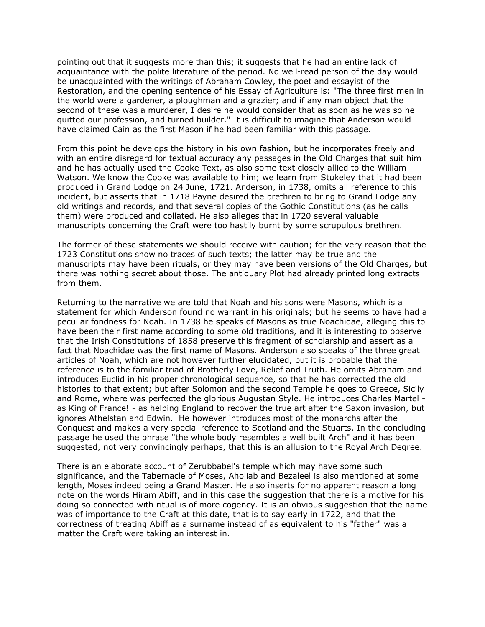pointing out that it suggests more than this; it suggests that he had an entire lack of acquaintance with the polite literature of the period. No well-read person of the day would be unacquainted with the writings of Abraham Cowley, the poet and essayist of the Restoration, and the opening sentence of his Essay of Agriculture is: "The three first men in the world were a gardener, a ploughman and a grazier; and if any man object that the second of these was a murderer, I desire he would consider that as soon as he was so he quitted our profession, and turned builder." It is difficult to imagine that Anderson would have claimed Cain as the first Mason if he had been familiar with this passage.

From this point he develops the history in his own fashion, but he incorporates freely and with an entire disregard for textual accuracy any passages in the Old Charges that suit him and he has actually used the Cooke Text, as also some text closely allied to the William Watson. We know the Cooke was available to him; we learn from Stukeley that it had been produced in Grand Lodge on 24 June, 1721. Anderson, in 1738, omits all reference to this incident, but asserts that in 1718 Payne desired the brethren to bring to Grand Lodge any old writings and records, and that several copies of the Gothic Constitutions (as he calls them) were produced and collated. He also alleges that in 1720 several valuable manuscripts concerning the Craft were too hastily burnt by some scrupulous brethren.

The former of these statements we should receive with caution; for the very reason that the 1723 Constitutions show no traces of such texts; the latter may be true and the manuscripts may have been rituals, or they may have been versions of the Old Charges, but there was nothing secret about those. The antiquary Plot had already printed long extracts from them.

Returning to the narrative we are told that Noah and his sons were Masons, which is a statement for which Anderson found no warrant in his originals; but he seems to have had a peculiar fondness for Noah. In 1738 he speaks of Masons as true Noachidae, alleging this to have been their first name according to some old traditions, and it is interesting to observe that the Irish Constitutions of 1858 preserve this fragment of scholarship and assert as a fact that Noachidae was the first name of Masons. Anderson also speaks of the three great articles of Noah, which are not however further elucidated, but it is probable that the reference is to the familiar triad of Brotherly Love, Relief and Truth. He omits Abraham and introduces Euclid in his proper chronological sequence, so that he has corrected the old histories to that extent; but after Solomon and the second Temple he goes to Greece, Sicily and Rome, where was perfected the glorious Augustan Style. He introduces Charles Martel as King of France! - as helping England to recover the true art after the Saxon invasion, but ignores Athelstan and Edwin. He however introduces most of the monarchs after the Conquest and makes a very special reference to Scotland and the Stuarts. In the concluding passage he used the phrase "the whole body resembles a well built Arch" and it has been suggested, not very convincingly perhaps, that this is an allusion to the Royal Arch Degree.

There is an elaborate account of Zerubbabel's temple which may have some such significance, and the Tabernacle of Moses, Aholiab and Bezaleel is also mentioned at some length, Moses indeed being a Grand Master. He also inserts for no apparent reason a long note on the words Hiram Abiff, and in this case the suggestion that there is a motive for his doing so connected with ritual is of more cogency. It is an obvious suggestion that the name was of importance to the Craft at this date, that is to say early in 1722, and that the correctness of treating Abiff as a surname instead of as equivalent to his "father" was a matter the Craft were taking an interest in.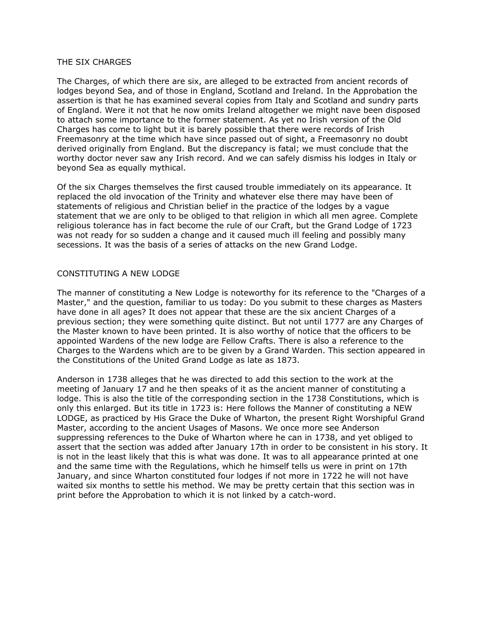### THE SIX CHARGES

The Charges, of which there are six, are alleged to be extracted from ancient records of lodges beyond Sea, and of those in England, Scotland and Ireland. In the Approbation the assertion is that he has examined several copies from Italy and Scotland and sundry parts of England. Were it not that he now omits Ireland altogether we might nave been disposed to attach some importance to the former statement. As yet no Irish version of the Old Charges has come to light but it is barely possible that there were records of Irish Freemasonry at the time which have since passed out of sight, a Freemasonry no doubt derived originally from England. But the discrepancy is fatal; we must conclude that the worthy doctor never saw any Irish record. And we can safely dismiss his lodges in Italy or beyond Sea as equally mythical.

Of the six Charges themselves the first caused trouble immediately on its appearance. It replaced the old invocation of the Trinity and whatever else there may have been of statements of religious and Christian belief in the practice of the lodges by a vague statement that we are only to be obliged to that religion in which all men agree. Complete religious tolerance has in fact become the rule of our Craft, but the Grand Lodge of 1723 was not ready for so sudden a change and it caused much ill feeling and possibly many secessions. It was the basis of a series of attacks on the new Grand Lodge.

### CONSTITUTING A NEW LODGE

The manner of constituting a New Lodge is noteworthy for its reference to the "Charges of a Master," and the question, familiar to us today: Do you submit to these charges as Masters have done in all ages? It does not appear that these are the six ancient Charges of a previous section; they were something quite distinct. But not until 1777 are any Charges of the Master known to have been printed. It is also worthy of notice that the officers to be appointed Wardens of the new lodge are Fellow Crafts. There is also a reference to the Charges to the Wardens which are to be given by a Grand Warden. This section appeared in the Constitutions of the United Grand Lodge as late as 1873.

Anderson in 1738 alleges that he was directed to add this section to the work at the meeting of January 17 and he then speaks of it as the ancient manner of constituting a lodge. This is also the title of the corresponding section in the 1738 Constitutions, which is only this enlarged. But its title in 1723 is: Here follows the Manner of constituting a NEW LODGE, as practiced by His Grace the Duke of Wharton, the present Right Worshipful Grand Master, according to the ancient Usages of Masons. We once more see Anderson suppressing references to the Duke of Wharton where he can in 1738, and yet obliged to assert that the section was added after January 17th in order to be consistent in his story. It is not in the least likely that this is what was done. It was to all appearance printed at one and the same time with the Regulations, which he himself tells us were in print on 17th January, and since Wharton constituted four lodges if not more in 1722 he will not have waited six months to settle his method. We may be pretty certain that this section was in print before the Approbation to which it is not linked by a catch-word.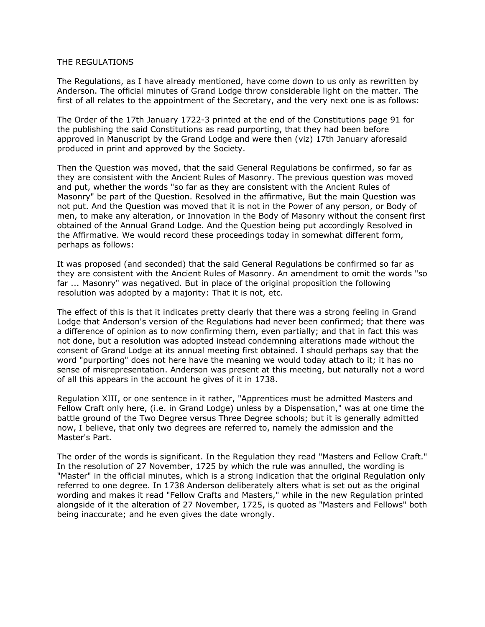#### THE REGULATIONS

The Regulations, as I have already mentioned, have come down to us only as rewritten by Anderson. The official minutes of Grand Lodge throw considerable light on the matter. The first of all relates to the appointment of the Secretary, and the very next one is as follows:

The Order of the 17th January 1722-3 printed at the end of the Constitutions page 91 for the publishing the said Constitutions as read purporting, that they had been before approved in Manuscript by the Grand Lodge and were then (viz) 17th January aforesaid produced in print and approved by the Society.

Then the Question was moved, that the said General Regulations be confirmed, so far as they are consistent with the Ancient Rules of Masonry. The previous question was moved and put, whether the words "so far as they are consistent with the Ancient Rules of Masonry" be part of the Question. Resolved in the affirmative, But the main Question was not put. And the Question was moved that it is not in the Power of any person, or Body of men, to make any alteration, or Innovation in the Body of Masonry without the consent first obtained of the Annual Grand Lodge. And the Question being put accordingly Resolved in the Affirmative. We would record these proceedings today in somewhat different form, perhaps as follows:

It was proposed (and seconded) that the said General Regulations be confirmed so far as they are consistent with the Ancient Rules of Masonry. An amendment to omit the words "so far ... Masonry" was negatived. But in place of the original proposition the following resolution was adopted by a majority: That it is not, etc.

The effect of this is that it indicates pretty clearly that there was a strong feeling in Grand Lodge that Anderson's version of the Regulations had never been confirmed; that there was a difference of opinion as to now confirming them, even partially; and that in fact this was not done, but a resolution was adopted instead condemning alterations made without the consent of Grand Lodge at its annual meeting first obtained. I should perhaps say that the word "purporting" does not here have the meaning we would today attach to it; it has no sense of misrepresentation. Anderson was present at this meeting, but naturally not a word of all this appears in the account he gives of it in 1738.

Regulation XIII, or one sentence in it rather, "Apprentices must be admitted Masters and Fellow Craft only here, (i.e. in Grand Lodge) unless by a Dispensation," was at one time the battle ground of the Two Degree versus Three Degree schools; but it is generally admitted now, I believe, that only two degrees are referred to, namely the admission and the Master's Part.

The order of the words is significant. In the Regulation they read "Masters and Fellow Craft." In the resolution of 27 November, 1725 by which the rule was annulled, the wording is "Master" in the official minutes, which is a strong indication that the original Regulation only referred to one degree. In 1738 Anderson deliberately alters what is set out as the original wording and makes it read "Fellow Crafts and Masters," while in the new Regulation printed alongside of it the alteration of 27 November, 1725, is quoted as "Masters and Fellows" both being inaccurate; and he even gives the date wrongly.